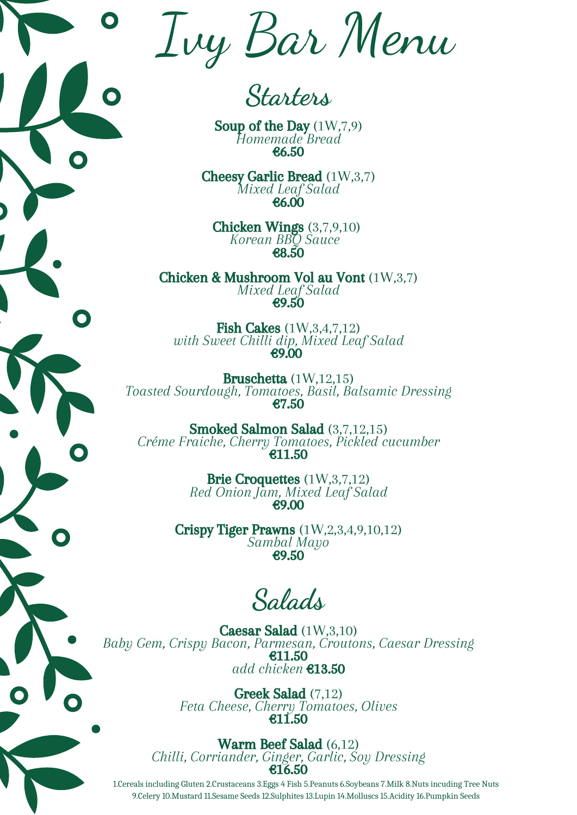1.Cereals including Gluten 2.Crustaceans 3.Eggs 4 Fish 5.Peanuts 6.Soybeans 7.Milk 8.Nuts incuding Tree Nuts 9.Celery 10.Mustard 11.Sesame Seeds 12.Sulphites 13.Lupin 14.Molluscs 15.Acidity 16.Pumpkin Seeds

Soup of the Day  $(1W,7,9)$ *Homemade Bread* €6.50

**Starters**

**Fish Cakes** (1W, 3, 4, 7, 12) *with Sweet Chilli dip, Mixed Leaf Salad* €9.00

Cheesy Garlic Bread (1W,3,7) *Mixed Leaf Salad* €6.00

Chicken Wings (3,7,9,10) *Korean BBQ Sauce* €8.50

Chicken & Mushroom Vol au Vont (1W,3,7) *Mixed Leaf Salad* €9.50

Bruschetta (1W,12,15) *Toasted Sourdough, Tomatoes, Basil, Balsamic Dressing* €7.50

Smoked Salmon Salad (3,7,12,15)

*Créme Fraiche, Cherry Tomatoes, Pickled cucumber* €11.50

> Brie Croquettes (1W,3,7,12) *Red Onion Jam, Mixed Leaf Salad* €9.00

Crispy Tiger Prawns (1W,2,3,4,9,10,12) *Sambal Mayo* €9.50

**Salads**

Caesar Salad (1W,3,10) *Baby Gem, Crispy Bacon, Parmesan, Croutons, Caesar Dressing* €11.50 *add chicken* €13.50

> Greek Salad (7,12) *Feta Cheese, Cherry Tomatoes, Olives* €11.50

Warm Beef Salad (6,12) *Chilli, Corriander, Ginger, Garlic, Soy Dressing* €16.50

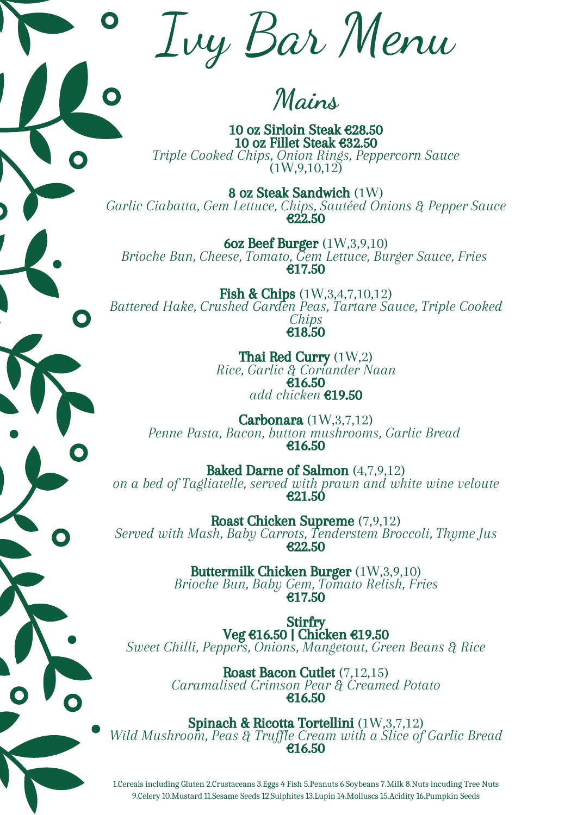1.Cereals including Gluten 2.Crustaceans 3.Eggs 4 Fish 5.Peanuts 6.Soybeans 7.Milk 8.Nuts incuding Tree Nuts 9.Celery 10.Mustard 11.Sesame Seeds 12.Sulphites 13.Lupin 14.Molluscs 15.Acidity 16.Pumpkin Seeds

10 oz Sirloin Steak €28.50 10 oz Fillet Steak €32.50 *Triple Cooked Chips, Onion Rings, Peppercorn Sauce*  $(1W, 9, 10, 12)$ 

Ivy Bar Menu

**Mains**

Fish & Chips (1W, 3, 4, 7, 10, 12) *Battered Hake, Crushed Garden Peas, Tartare Sauce, Triple Cooked Chips* €18.50

8 oz Steak Sandwich (1W) *Garlic Ciabatta, Gem Lettuce, Chips, Sautéed Onions & Pepper Sauce* €22.50

6oz Beef Burger (1W,3,9,10) *Brioche Bun, Cheese, Tomato, Gem Lettuce, Burger Sauce, Fries* €17.50

> Thai Red Curry (1W,2) *Rice, Garlic & Coriander Naan* €16.50 *add chicken* €19.50

Spinach & Ricotta Tortellini (1W,3,7,12) *Wild Mushroom, Peas & Truffle Cream with a Slice of Garlic Bread* €16.50

Carbonara (1W,3,7,12) *Penne Pasta, Bacon, button mushrooms, Garlic Bread*

€16.50

Baked Darne of Salmon (4,7,9,12) *on a bed of Tagliatelle, served with prawn and white wine veloute* €21.50

Roast Chicken Supreme (7,9,12) *Served with Mash, Baby Carrots, Tenderstem Broccoli, Thyme Jus* €22.50

> Buttermilk Chicken Burger (1W,3,9,10) *Brioche Bun, Baby Gem, Tomato Relish, Fries* €17.50

Stirfry Veg €16.50 | Chicken €19.50 *Sweet Chilli, Peppers, Onions, Mangetout, Green Beans & Rice*

> Roast Bacon Cutlet (7,12,15) *Caramalised Crimson Pear & Creamed Potato* €16.50